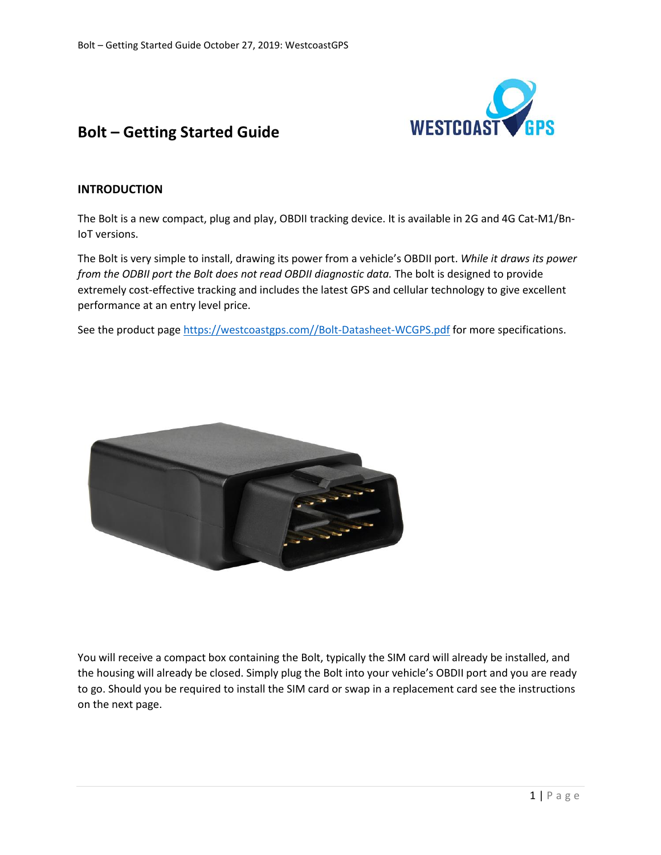

# **Bolt – Getting Started Guide**

# **INTRODUCTION**

The Bolt is a new compact, plug and play, OBDII tracking device. It is available in 2G and 4G Cat-M1/Bn-IoT versions.

The Bolt is very simple to install, drawing its power from a vehicle's OBDII port. *While it draws its power from the ODBII port the Bolt does not read OBDII diagnostic data.* The bolt is designed to provide extremely cost-effective tracking and includes the latest GPS and cellular technology to give excellent performance at an entry level price.

See the product page [https://westcoastgps.com//Bolt-Datasheet-WCGPS.pdf](https://westcoastgps.com/wp-content/uploads/2019/06/Bolt-Datasheet-WCGPS.pdf) for more specifications.



You will receive a compact box containing the Bolt, typically the SIM card will already be installed, and the housing will already be closed. Simply plug the Bolt into your vehicle's OBDII port and you are ready to go. Should you be required to install the SIM card or swap in a replacement card see the instructions on the next page.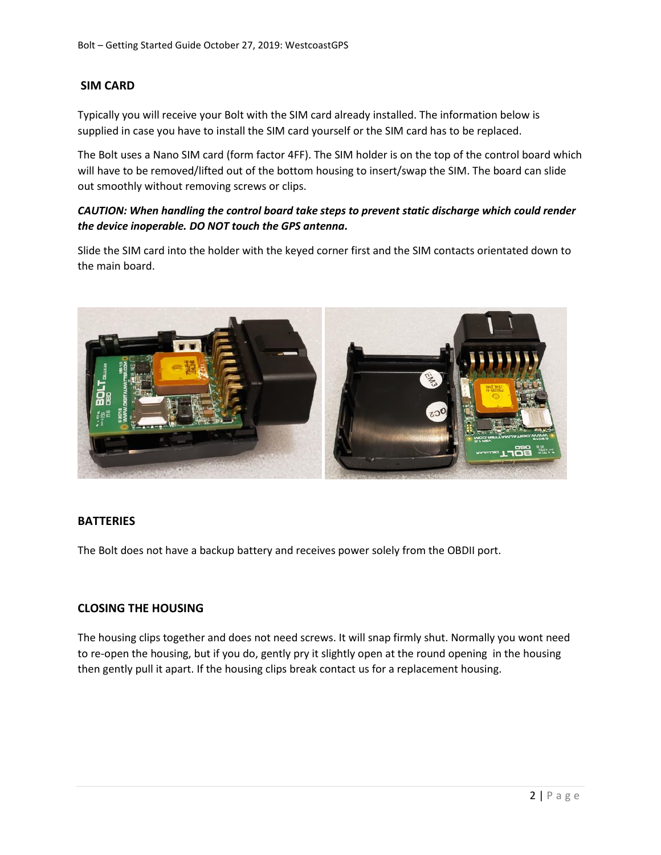# **SIM CARD**

Typically you will receive your Bolt with the SIM card already installed. The information below is supplied in case you have to install the SIM card yourself or the SIM card has to be replaced.

The Bolt uses a Nano SIM card (form factor 4FF). The SIM holder is on the top of the control board which will have to be removed/lifted out of the bottom housing to insert/swap the SIM. The board can slide out smoothly without removing screws or clips.

# *CAUTION: When handling the control board take steps to prevent static discharge which could render the device inoperable. DO NOT touch the GPS antenna.*

Slide the SIM card into the holder with the keyed corner first and the SIM contacts orientated down to the main board.



#### **BATTERIES**

The Bolt does not have a backup battery and receives power solely from the OBDII port.

#### **CLOSING THE HOUSING**

The housing clips together and does not need screws. It will snap firmly shut. Normally you wont need to re-open the housing, but if you do, gently pry it slightly open at the round opening in the housing then gently pull it apart. If the housing clips break contact us for a replacement housing.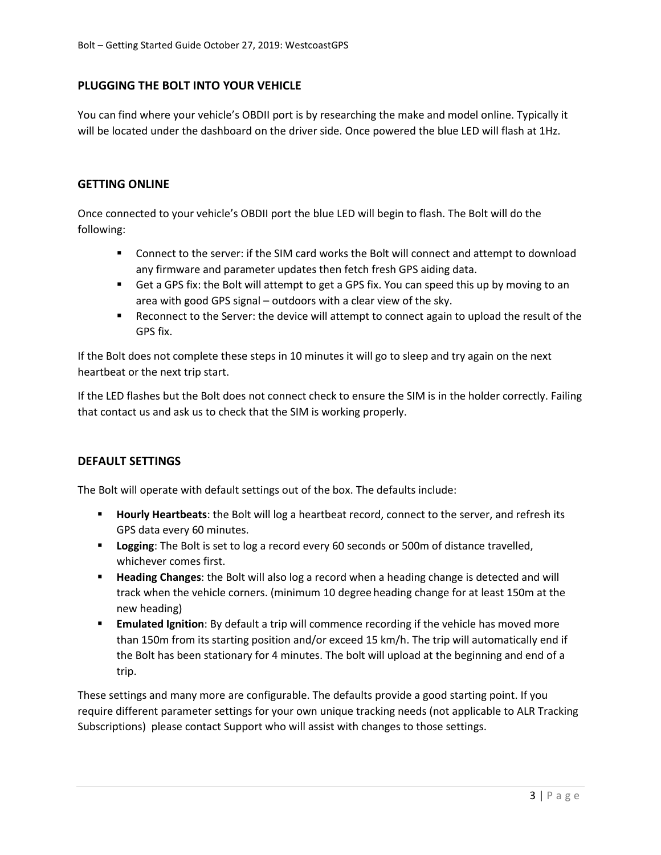# **PLUGGING THE BOLT INTO YOUR VEHICLE**

You can find where your vehicle's OBDII port is by researching the make and model online. Typically it will be located under the dashboard on the driver side. Once powered the blue LED will flash at 1Hz.

#### **GETTING ONLINE**

Once connected to your vehicle's OBDII port the blue LED will begin to flash. The Bolt will do the following:

- Connect to the server: if the SIM card works the Bolt will connect and attempt to download any firmware and parameter updates then fetch fresh GPS aiding data.
- Get a GPS fix: the Bolt will attempt to get a GPS fix. You can speed this up by moving to an area with good GPS signal – outdoors with a clear view of the sky.
- Reconnect to the Server: the device will attempt to connect again to upload the result of the GPS fix.

If the Bolt does not complete these steps in 10 minutes it will go to sleep and try again on the next heartbeat or the next trip start.

If the LED flashes but the Bolt does not connect check to ensure the SIM is in the holder correctly. Failing that contact us and ask us to check that the SIM is working properly.

#### **DEFAULT SETTINGS**

The Bolt will operate with default settings out of the box. The defaults include:

- **Hourly Heartbeats**: the Bolt will log a heartbeat record, connect to the server, and refresh its GPS data every 60 minutes.
- **Example 1** Logging: The Bolt is set to log a record every 60 seconds or 500m of distance travelled, whichever comes first.
- **Heading Changes**: the Bolt will also log a record when a heading change is detected and will track when the vehicle corners. (minimum 10 degree heading change for at least 150m at the new heading)
- **Emulated Ignition**: By default a trip will commence recording if the vehicle has moved more than 150m from its starting position and/or exceed 15 km/h. The trip will automatically end if the Bolt has been stationary for 4 minutes. The bolt will upload at the beginning and end of a trip.

These settings and many more are configurable. The defaults provide a good starting point. If you require different parameter settings for your own unique tracking needs (not applicable to ALR Tracking Subscriptions) please contact Support who will assist with changes to those settings.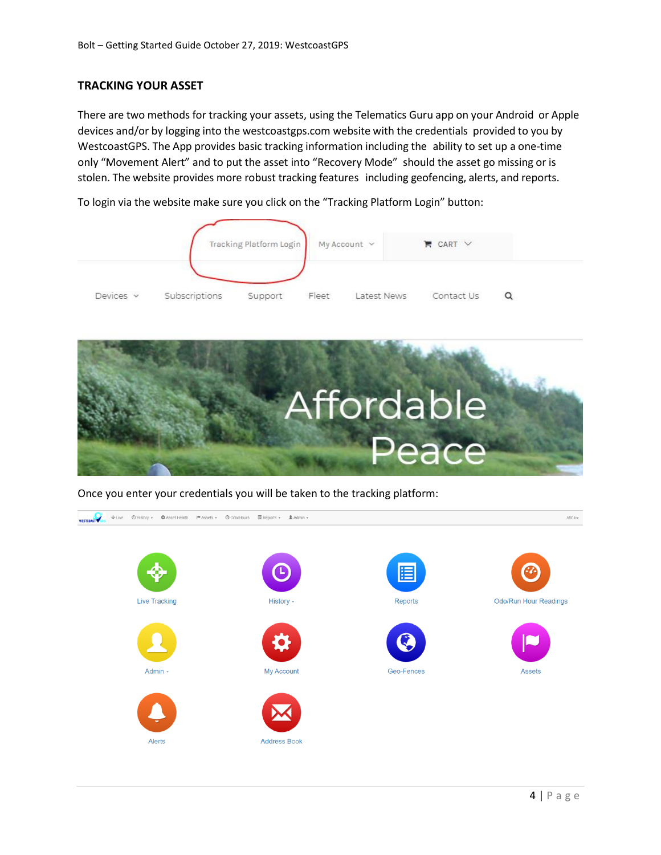### **TRACKING YOUR ASSET**

There are two methods for tracking your assets, using the Telematics Guru app on your Android or Apple devices and/or by logging into the westcoastgps.com website with the credentials provided to you by WestcoastGPS. The App provides basic tracking information including the ability to set up a one-time only "Movement Alert" and to put the asset into "Recovery Mode" should the asset go missing or is stolen. The website provides more robust tracking features including geofencing, alerts, and reports.

To login via the website make sure you click on the "Tracking Platform Login" button:





Once you enter your credentials you will be taken to the tracking platform:

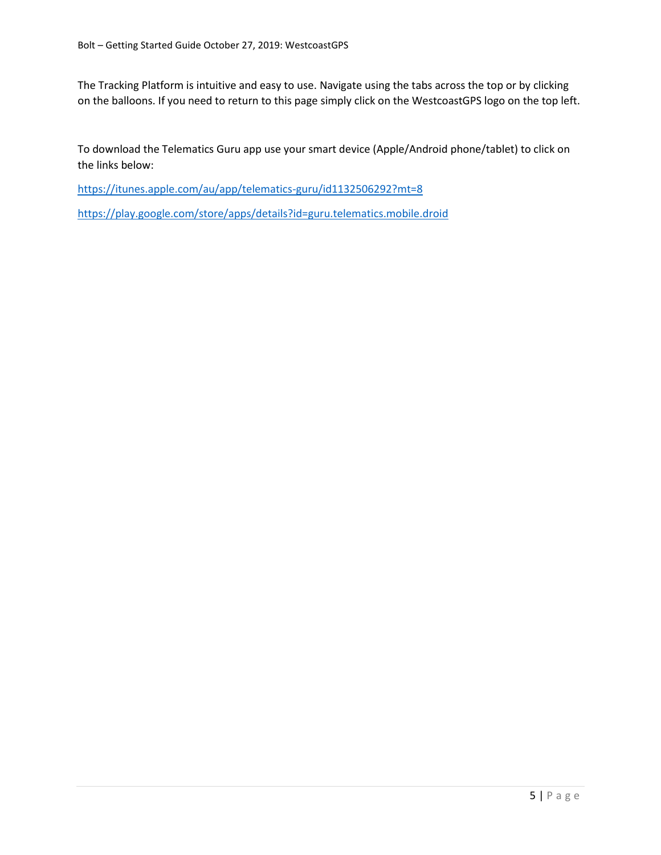The Tracking Platform is intuitive and easy to use. Navigate using the tabs across the top or by clicking on the balloons. If you need to return to this page simply click on the WestcoastGPS logo on the top left.

To download the Telematics Guru app use your smart device (Apple/Android phone/tablet) to click on the links below:

<https://itunes.apple.com/au/app/telematics-guru/id1132506292?mt=8>

<https://play.google.com/store/apps/details?id=guru.telematics.mobile.droid>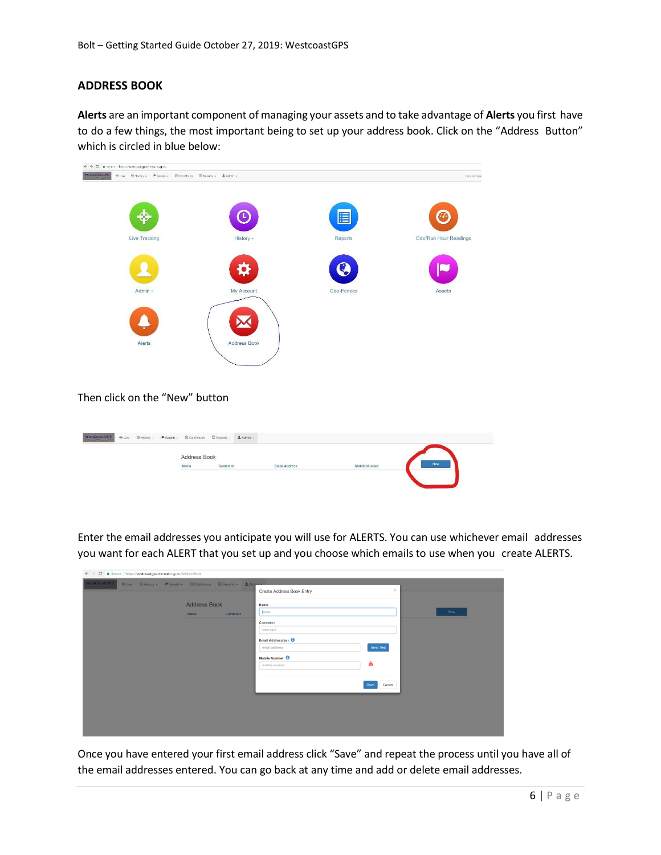# **ADDRESS BOOK**

**Alerts** are an important component of managing your assets and to take advantage of **Alerts** you first have to do a few things, the most important being to set up your address book. Click on the "Address Button" which is circled in blue below:



#### Then click on the "New" button

| Address Book<br>Now<br>$Comment$<br>Name<br>Mobile Number<br><b>Email Address</b> | $\textbf{WestConst}$ GPS $_{\rm{c}}$ |  | + Live © History - M Assets - © Odo/Hours El Reports - LAdmin - |  |  |  |
|-----------------------------------------------------------------------------------|--------------------------------------|--|-----------------------------------------------------------------|--|--|--|
|                                                                                   |                                      |  |                                                                 |  |  |  |
|                                                                                   |                                      |  |                                                                 |  |  |  |
|                                                                                   |                                      |  |                                                                 |  |  |  |

Enter the email addresses you anticipate you will use for ALERTS. You can use whichever email addresses you want for each ALERT that you set up and you choose which emails to use when you create ALERTS.

| ← → C  a Secure   https://westcoastgps.telematics.guru/AddressBook           |                                       |                |
|------------------------------------------------------------------------------|---------------------------------------|----------------|
| WestCoast GPS<br>◆Live © History → M Assets → © Odo/Hours E Reports → LAdmin |                                       | $\times$       |
|                                                                              | Create Address Book Entry             |                |
| <b>Address Book</b>                                                          | Name                                  |                |
| <b>Name</b><br>Comment                                                       | hame                                  | Now            |
|                                                                              | Comment                               |                |
|                                                                              | comment                               |                |
|                                                                              | Email Address(es)                     |                |
|                                                                              | email address                         | Send Test      |
|                                                                              | Mobile Number <sup><sup>O</sup></sup> |                |
|                                                                              | mobile number                         | ◬              |
|                                                                              |                                       |                |
|                                                                              |                                       | Cancel<br>Save |
|                                                                              |                                       |                |
|                                                                              |                                       |                |
|                                                                              |                                       |                |
|                                                                              |                                       |                |
|                                                                              |                                       |                |

Once you have entered your first email address click "Save" and repeat the process until you have all of the email addresses entered. You can go back at any time and add or delete email addresses.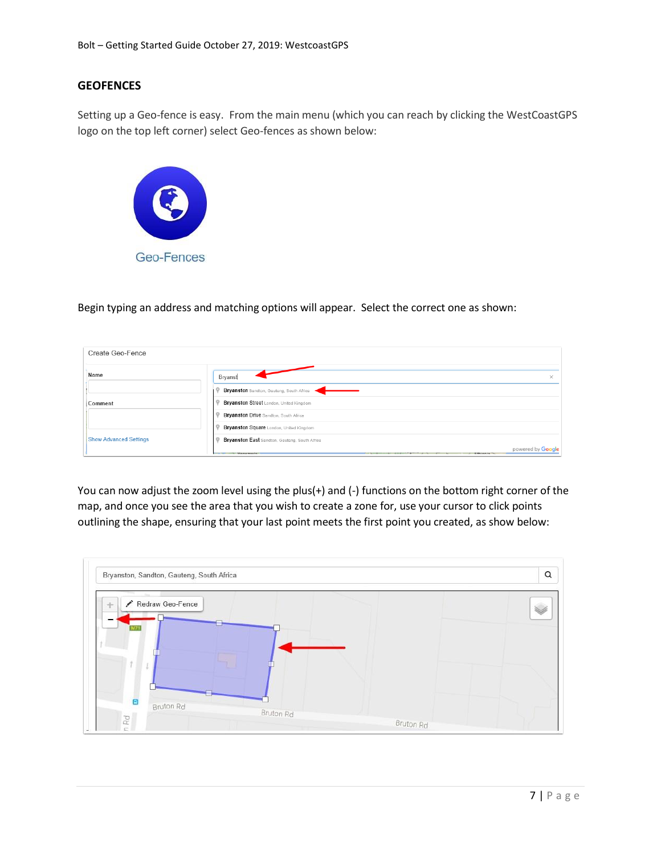### **GEOFENCES**

Setting up a Geo-fence is easy. From the main menu (which you can reach by clicking the WestCoastGPS logo on the top left corner) select Geo-fences as shown below:



Begin typing an address and matching options will appear. Select the correct one as shown:

| Create Geo-Fence              |                                                                         |
|-------------------------------|-------------------------------------------------------------------------|
| Name                          | Bryanst<br>×                                                            |
|                               | Bryanston Sandton, Gauteng, South Africa                                |
| Comment                       | Bryanston Street London, United Kingdom                                 |
|                               | Bryanston Drive Sandton, South Africa                                   |
|                               | Bryanston Square London, United Kingdom                                 |
| <b>Show Advanced Settings</b> | Bryanston East Sandton, Gauteng, South Africa                           |
|                               | powered by Google<br><b>Manazinala</b><br><b>STATISTICS</b><br>Ethinnia |

You can now adjust the zoom level using the plus(+) and (-) functions on the bottom right corner of the map, and once you see the area that you wish to create a zone for, use your cursor to click points outlining the shape, ensuring that your last point meets the first point you created, as show below:

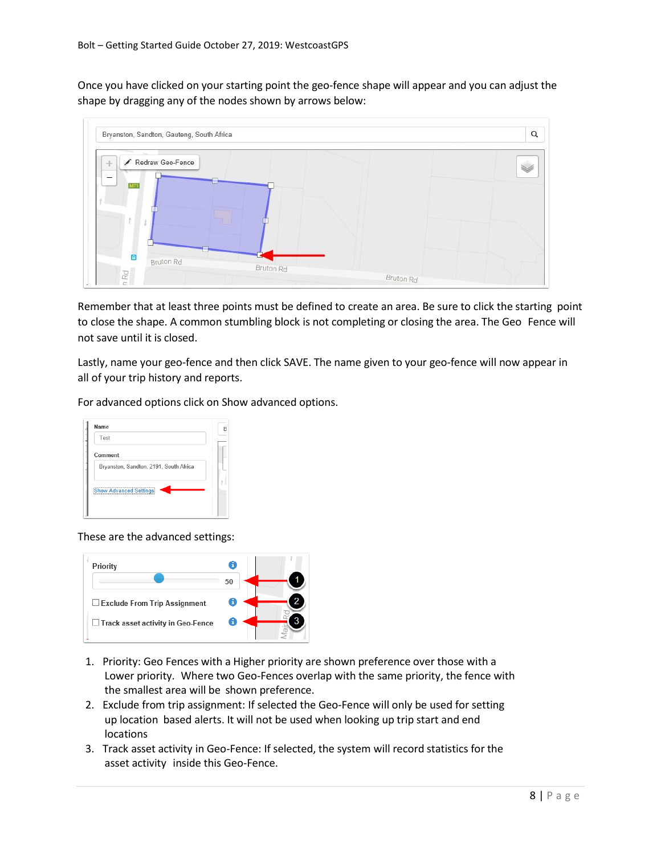Once you have clicked on your starting point the geo-fence shape will appear and you can adjust the shape by dragging any of the nodes shown by arrows below:



Remember that at least three points must be defined to create an area. Be sure to click the starting point to close the shape. A common stumbling block is not completing or closing the area. The Geo Fence will not save until it is closed.

Lastly, name your geo-fence and then click SAVE. The name given to your geo-fence will now appear in all of your trip history and reports.

For advanced options click on Show advanced options.

| Name                                   | R |
|----------------------------------------|---|
| Test                                   |   |
| Comment                                |   |
| Bryanston, Sandton, 2191, South Africa |   |
| <b>Show Advanced Settings</b>          |   |
|                                        |   |

These are the advanced settings:



- 1. Priority: Geo Fences with a Higher priority are shown preference over those with a Lower priority. Where two Geo-Fences overlap with the same priority, the fence with the smallest area will be shown preference.
- 2. Exclude from trip assignment: If selected the Geo-Fence will only be used for setting up location based alerts. It will not be used when looking up trip start and end locations
- 3. Track asset activity in Geo-Fence: If selected, the system will record statistics for the asset activity inside this Geo-Fence.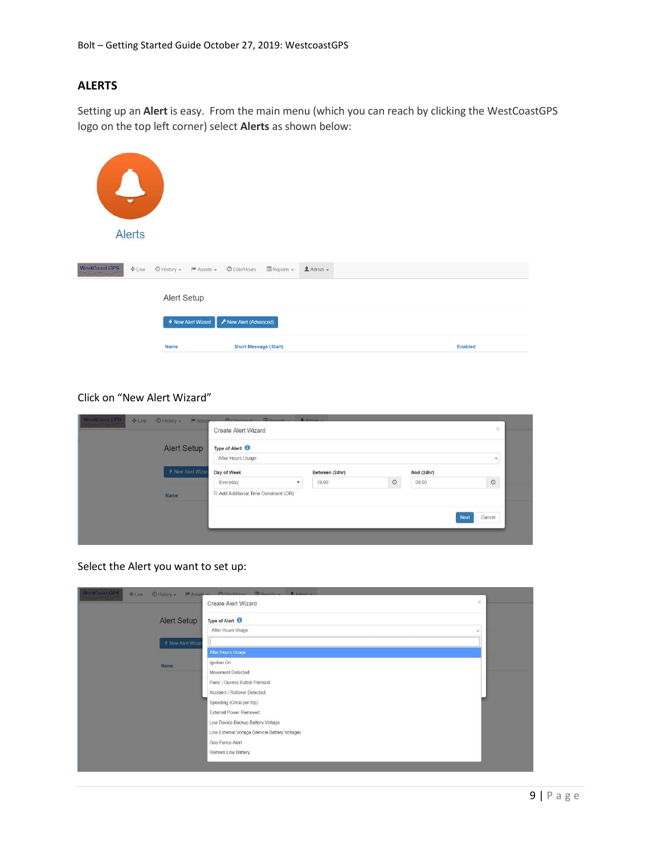# **ALERTS**

Setting up an **Alert** is easy. From the main menu (which you can reach by clicking the WestCoastGPS logo on the top left corner) select **Alerts** as shown below:

| $\mathbf{L}$<br>$\overline{\phantom{0}}$<br><b>Alerts</b> |                                                                     |                                                             |                  |                |
|-----------------------------------------------------------|---------------------------------------------------------------------|-------------------------------------------------------------|------------------|----------------|
| WestCoast GPS<br>$E =$                                    | $\bigcirc$ History $\bullet$ $\qquad \blacksquare$ Assets $\bullet$ | $\blacksquare$ Reports $\blacktriangleright$<br>O Odo/Hours | $A$ Admin $\sim$ |                |
|                                                           | <b>Alert Setup</b>                                                  |                                                             |                  |                |
|                                                           | ← New Alert Wizard                                                  | F New Alert (Advanced)                                      |                  |                |
|                                                           | <b>Name</b>                                                         | <b>Short Message (Start)</b>                                |                  | <b>Enabled</b> |

# Click on "New Alert Wizard"

| <b>Alert Setup</b> | Type of Alert <sup>6</sup><br>After Hours Usage |                |         |            | $\star$        |
|--------------------|-------------------------------------------------|----------------|---------|------------|----------------|
| ← New Alert Wizar  | Day of Week                                     | Between (24hr) |         | And (24hr) |                |
|                    | Everyday                                        | 19:00          | $\odot$ | 06:00      | $\circ$        |
| Name               | Add Additional Time Constraint (OR)             |                |         |            |                |
|                    |                                                 |                |         |            | Cancel<br>Next |

Select the Alert you want to set up:

|                    | $>\,$<br><b>Create Alert Wizard</b>            |  |
|--------------------|------------------------------------------------|--|
| <b>Alert Setup</b> | Type of Alert <sup>O</sup>                     |  |
|                    | After Hours Usage                              |  |
| ← New Alert Wizard |                                                |  |
|                    | After Hours Usage                              |  |
| Name               | Ignition On                                    |  |
|                    | Movement Detected                              |  |
|                    | Panic / Duress Button Pressed                  |  |
|                    | Accident / Rollover Detected                   |  |
|                    | Speeding (Once per trip)                       |  |
|                    | External Power Removed                         |  |
|                    | Low Device Backup Battery Voltage              |  |
|                    | Low External Voltage (Vehicle Battery Voltage) |  |
|                    | Geo Fence Alert                                |  |
|                    | Remora Low Battery                             |  |
|                    |                                                |  |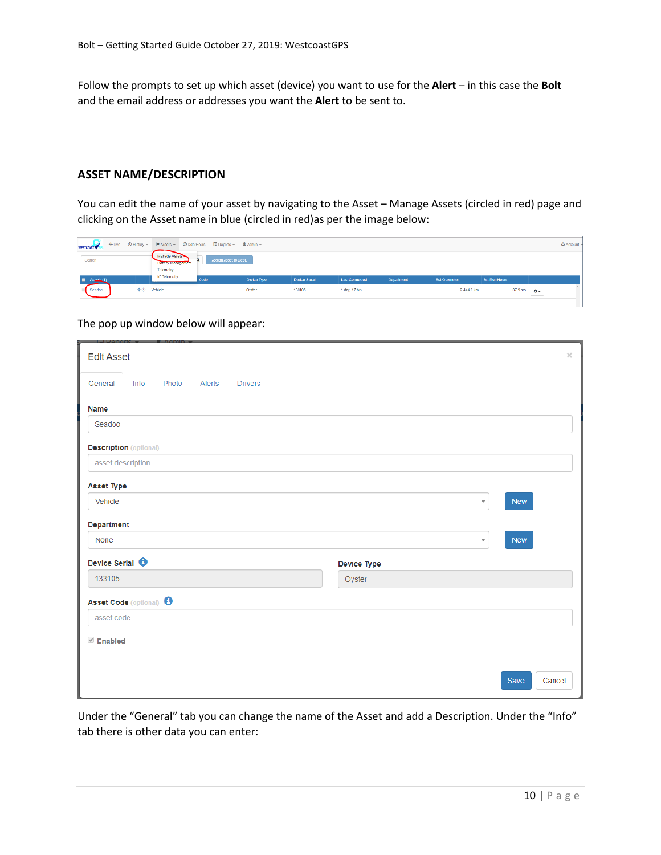Follow the prompts to set up which asset (device) you want to use for the **Alert** – in this case the **Bolt** and the email address or addresses you want the **Alert** to be sent to.

#### **ASSET NAME/DESCRIPTION**

You can edit the name of your asset by navigating to the Asset – Manage Assets (circled in red) page and clicking on the Asset name in blue (circled in red)as per the image below:

| WESTCOAST <sup>V</sup> |                                   |                                                               | ◆Live ⊙History →  甲Assets → ⊙OdoHours □Reports → LAdmin → |             |               |                |            |              |               |                        | <b>C</b> Account |
|------------------------|-----------------------------------|---------------------------------------------------------------|-----------------------------------------------------------|-------------|---------------|----------------|------------|--------------|---------------|------------------------|------------------|
| Search                 |                                   | Manage Assets<br><b>ENGINEER AND DESCRIPTION</b><br>Telemetry | Assign Asset to Dept.                                     |             |               |                |            |              |               |                        |                  |
| E Aspets (1)           |                                   | IO Telemetry                                                  | Code                                                      | Device Type | Device Serial | Last Connected | Department | Est Odometer | Est Run Hours |                        |                  |
| Seadoo                 | $\triangleq$ <sup>O</sup> Vehicle |                                                               |                                                           | Oyster      | 133106        | 1 day, 17 hrs. |            | 2444.3 km    | 37.9 hrs      | $\ddot{\circ}$<br>____ |                  |
|                        |                                   |                                                               |                                                           |             |               |                |            |              |               |                        |                  |

The pop up window below will appear:

| <b>Edit Asset</b>                  |                   |       |        |                |             |                         |            | $\times$ |
|------------------------------------|-------------------|-------|--------|----------------|-------------|-------------------------|------------|----------|
| General                            | Info              | Photo | Alerts | <b>Drivers</b> |             |                         |            |          |
| <b>Name</b>                        |                   |       |        |                |             |                         |            |          |
| Seadoo                             |                   |       |        |                |             |                         |            |          |
| <b>Description</b> (optional)      |                   |       |        |                |             |                         |            |          |
|                                    | asset description |       |        |                |             |                         |            |          |
| <b>Asset Type</b>                  |                   |       |        |                |             |                         |            |          |
| Vehicle                            |                   |       |        |                |             | $\overline{\mathbf{v}}$ | <b>New</b> |          |
| Department                         |                   |       |        |                |             |                         |            |          |
| None                               |                   |       |        |                |             | $\overline{\mathbf{v}}$ | <b>New</b> |          |
| Device Serial <sup>6</sup>         |                   |       |        |                | Device Type |                         |            |          |
| 133105                             |                   |       |        |                | Oyster      |                         |            |          |
| Asset Code (optional) <sup>6</sup> |                   |       |        |                |             |                         |            |          |
| asset code                         |                   |       |        |                |             |                         |            |          |
| <b><i>■</i></b> Enabled            |                   |       |        |                |             |                         |            |          |
|                                    |                   |       |        |                |             |                         |            |          |
|                                    |                   |       |        |                |             |                         | Save       | Cancel   |

Under the "General" tab you can change the name of the Asset and add a Description. Under the "Info" tab there is other data you can enter: